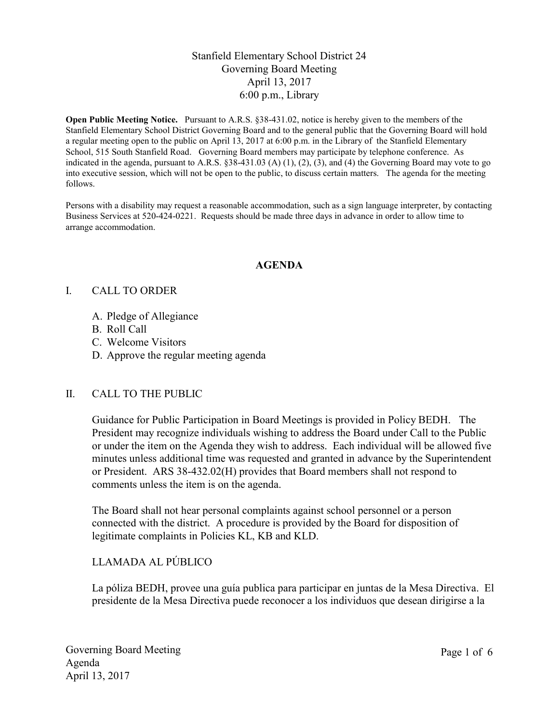# Stanfield Elementary School District 24 Governing Board Meeting April 13, 2017 6:00 p.m., Library

Open Public Meeting Notice. Pursuant to A.R.S. §38-431.02, notice is hereby given to the members of the Stanfield Elementary School District Governing Board and to the general public that the Governing Board will hold a regular meeting open to the public on April 13, 2017 at 6:00 p.m. in the Library of the Stanfield Elementary School, 515 South Stanfield Road. Governing Board members may participate by telephone conference. As indicated in the agenda, pursuant to A.R.S.  $\S 38-431.03$  (A) (1), (2), (3), and (4) the Governing Board may vote to go into executive session, which will not be open to the public, to discuss certain matters. The agenda for the meeting follows.

Persons with a disability may request a reasonable accommodation, such as a sign language interpreter, by contacting Business Services at 520-424-0221. Requests should be made three days in advance in order to allow time to arrange accommodation.

### AGENDA

#### I. CALL TO ORDER

- A. Pledge of Allegiance
- B. Roll Call
- C. Welcome Visitors
- D. Approve the regular meeting agenda

### II. CALL TO THE PUBLIC

Guidance for Public Participation in Board Meetings is provided in Policy BEDH. The President may recognize individuals wishing to address the Board under Call to the Public or under the item on the Agenda they wish to address. Each individual will be allowed five minutes unless additional time was requested and granted in advance by the Superintendent or President. ARS 38-432.02(H) provides that Board members shall not respond to comments unless the item is on the agenda.

The Board shall not hear personal complaints against school personnel or a person connected with the district. A procedure is provided by the Board for disposition of legitimate complaints in Policies KL, KB and KLD.

## LLAMADA AL PÚBLICO

La póliza BEDH, provee una guía publica para participar en juntas de la Mesa Directiva. El presidente de la Mesa Directiva puede reconocer a los individuos que desean dirigirse a la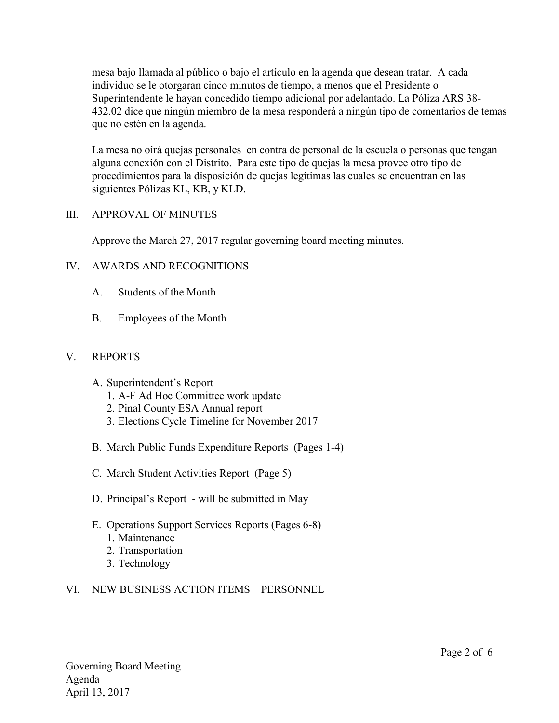mesa bajo llamada al público o bajo el artículo en la agenda que desean tratar. A cada individuo se le otorgaran cinco minutos de tiempo, a menos que el Presidente o Superintendente le hayan concedido tiempo adicional por adelantado. La Póliza ARS 38- 432.02 dice que ningún miembro de la mesa responderá a ningún tipo de comentarios de temas que no estén en la agenda.

La mesa no oirá quejas personales en contra de personal de la escuela o personas que tengan alguna conexión con el Distrito. Para este tipo de quejas la mesa provee otro tipo de procedimientos para la disposición de quejas legítimas las cuales se encuentran en las siguientes Pólizas KL, KB, y KLD.

## III. APPROVAL OF MINUTES

Approve the March 27, 2017 regular governing board meeting minutes.

# IV. AWARDS AND RECOGNITIONS

- A. Students of the Month
- B. Employees of the Month

## V. REPORTS

- A. Superintendent's Report
	- 1. A-F Ad Hoc Committee work update
	- 2. Pinal County ESA Annual report
	- 3. Elections Cycle Timeline for November 2017
- B. March Public Funds Expenditure Reports (Pages 1-4)
- C. March Student Activities Report (Page 5)
- D. Principal's Report will be submitted in May
- E. Operations Support Services Reports (Pages 6-8)
	- 1. Maintenance
	- 2. Transportation
	- 3. Technology

### VI. NEW BUSINESS ACTION ITEMS – PERSONNEL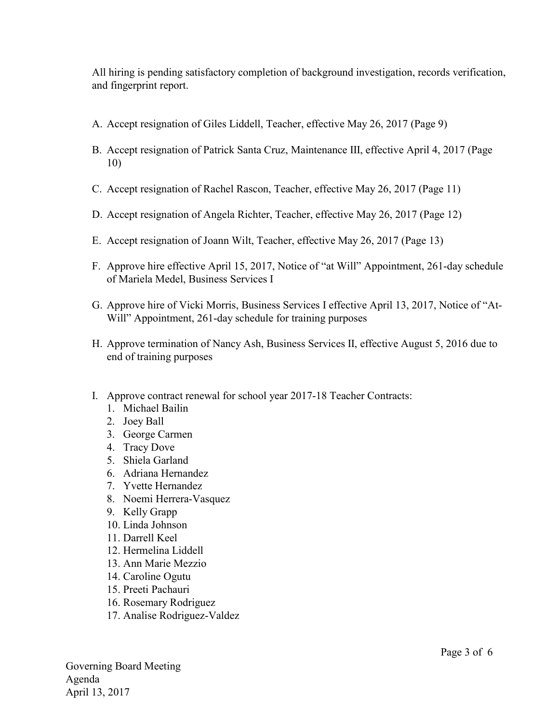All hiring is pending satisfactory completion of background investigation, records verification, and fingerprint report.

- A. Accept resignation of Giles Liddell, Teacher, effective May 26, 2017 (Page 9)
- B. Accept resignation of Patrick Santa Cruz, Maintenance III, effective April 4, 2017 (Page 10)
- C. Accept resignation of Rachel Rascon, Teacher, effective May 26, 2017 (Page 11)
- D. Accept resignation of Angela Richter, Teacher, effective May 26, 2017 (Page 12)
- E. Accept resignation of Joann Wilt, Teacher, effective May 26, 2017 (Page 13)
- F. Approve hire effective April 15, 2017, Notice of "at Will" Appointment, 261-day schedule of Mariela Medel, Business Services I
- G. Approve hire of Vicki Morris, Business Services I effective April 13, 2017, Notice of "At-Will" Appointment, 261-day schedule for training purposes
- H. Approve termination of Nancy Ash, Business Services II, effective August 5, 2016 due to end of training purposes
- I. Approve contract renewal for school year 2017-18 Teacher Contracts:
	- 1. Michael Bailin
	- 2. Joey Ball
	- 3. George Carmen
	- 4. Tracy Dove
	- 5. Shiela Garland
	- 6. Adriana Hernandez
	- 7. Yvette Hernandez
	- 8. Noemi Herrera-Vasquez
	- 9. Kelly Grapp
	- 10. Linda Johnson
	- 11. Darrell Keel
	- 12. Hermelina Liddell
	- 13. Ann Marie Mezzio
	- 14. Caroline Ogutu
	- 15. Preeti Pachauri
	- 16. Rosemary Rodriguez
	- 17. Analise Rodriguez-Valdez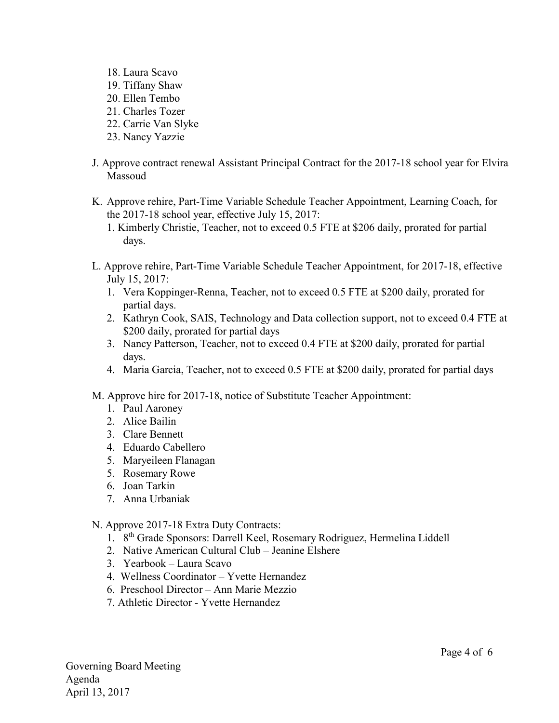- 18. Laura Scavo 19. Tiffany Shaw
- 20. Ellen Tembo
- 21. Charles Tozer
- 22. Carrie Van Slyke
- 23. Nancy Yazzie
- J. Approve contract renewal Assistant Principal Contract for the 2017-18 school year for Elvira Massoud
- K. Approve rehire, Part-Time Variable Schedule Teacher Appointment, Learning Coach, for the 2017-18 school year, effective July 15, 2017:
	- 1. Kimberly Christie, Teacher, not to exceed 0.5 FTE at \$206 daily, prorated for partial days.
- L. Approve rehire, Part-Time Variable Schedule Teacher Appointment, for 2017-18, effective July 15, 2017:
	- 1. Vera Koppinger-Renna, Teacher, not to exceed 0.5 FTE at \$200 daily, prorated for partial days.
	- 2. Kathryn Cook, SAIS, Technology and Data collection support, not to exceed 0.4 FTE at \$200 daily, prorated for partial days
	- 3. Nancy Patterson, Teacher, not to exceed 0.4 FTE at \$200 daily, prorated for partial days.
	- 4. Maria Garcia, Teacher, not to exceed 0.5 FTE at \$200 daily, prorated for partial days
- M. Approve hire for 2017-18, notice of Substitute Teacher Appointment:
	- 1. Paul Aaroney
	- 2. Alice Bailin
	- 3. Clare Bennett
	- 4. Eduardo Cabellero
	- 5. Maryeileen Flanagan
	- 5. Rosemary Rowe
	- 6. Joan Tarkin
	- 7. Anna Urbaniak
- N. Approve 2017-18 Extra Duty Contracts:
	- 1. 8th Grade Sponsors: Darrell Keel, Rosemary Rodriguez, Hermelina Liddell
	- 2. Native American Cultural Club Jeanine Elshere
	- 3. Yearbook Laura Scavo
	- 4. Wellness Coordinator Yvette Hernandez
	- 6. Preschool Director Ann Marie Mezzio
	- 7. Athletic Director Yvette Hernandez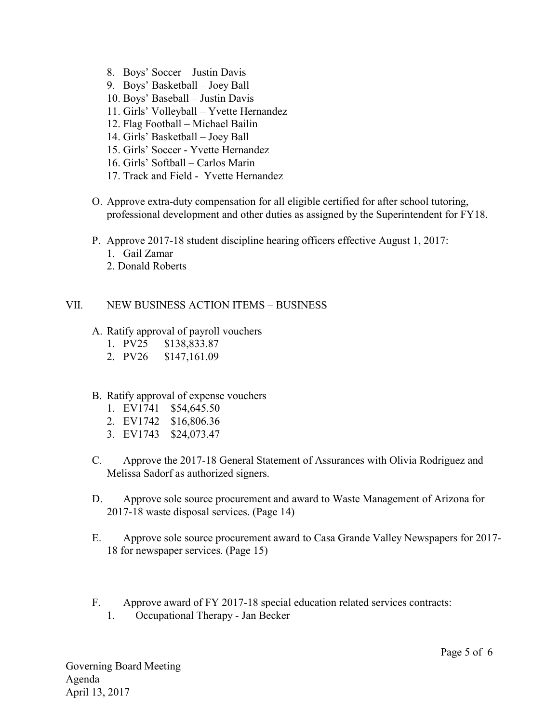- 8. Boys' Soccer Justin Davis
- 9. Boys' Basketball Joey Ball
- 10. Boys' Baseball Justin Davis
- 11. Girls' Volleyball Yvette Hernandez
- 12. Flag Football Michael Bailin
- 14. Girls' Basketball Joey Ball
- 15. Girls' Soccer Yvette Hernandez
- 16. Girls' Softball Carlos Marin
- 17. Track and Field Yvette Hernandez
- O. Approve extra-duty compensation for all eligible certified for after school tutoring, professional development and other duties as assigned by the Superintendent for FY18.
- P. Approve 2017-18 student discipline hearing officers effective August 1, 2017:
	- 1. Gail Zamar
	- 2. Donald Roberts

## VII. NEW BUSINESS ACTION ITEMS – BUSINESS

- A. Ratify approval of payroll vouchers
	- 1. PV25 \$138,833.87
	- 2. PV26 \$147,161.09
- B. Ratify approval of expense vouchers
	- 1. EV1741 \$54,645.50
	- 2. EV1742 \$16,806.36
	- 3. EV1743 \$24,073.47
- C. Approve the 2017-18 General Statement of Assurances with Olivia Rodriguez and Melissa Sadorf as authorized signers.
- D. Approve sole source procurement and award to Waste Management of Arizona for 2017-18 waste disposal services. (Page 14)
- E. Approve sole source procurement award to Casa Grande Valley Newspapers for 2017- 18 for newspaper services. (Page 15)
- F. Approve award of FY 2017-18 special education related services contracts: 1. Occupational Therapy - Jan Becker